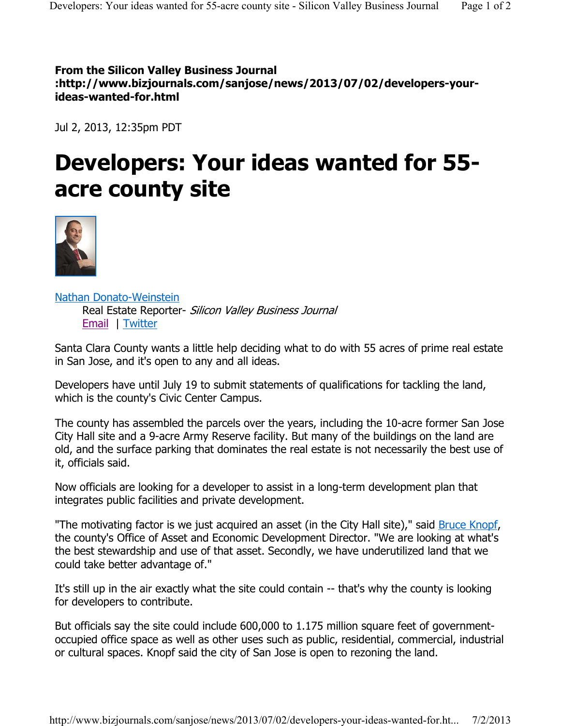**From the Silicon Valley Business Journal :http://www.bizjournals.com/sanjose/news/2013/07/02/developers-yourideas-wanted-for.html**

Jul 2, 2013, 12:35pm PDT

## **Developers: Your ideas wanted for 55 acre county site**



Nathan Donato-Weinstein Real Estate Reporter- Silicon Valley Business Journal Email | Twitter

Santa Clara County wants a little help deciding what to do with 55 acres of prime real estate in San Jose, and it's open to any and all ideas.

Developers have until July 19 to submit statements of qualifications for tackling the land, which is the county's Civic Center Campus.

The county has assembled the parcels over the years, including the 10-acre former San Jose City Hall site and a 9-acre Army Reserve facility. But many of the buildings on the land are old, and the surface parking that dominates the real estate is not necessarily the best use of it, officials said.

Now officials are looking for a developer to assist in a long-term development plan that integrates public facilities and private development.

"The motivating factor is we just acquired an asset (in the City Hall site)," said Bruce Knopf, the county's Office of Asset and Economic Development Director. "We are looking at what's the best stewardship and use of that asset. Secondly, we have underutilized land that we could take better advantage of."

It's still up in the air exactly what the site could contain -- that's why the county is looking for developers to contribute.

But officials say the site could include 600,000 to 1.175 million square feet of governmentoccupied office space as well as other uses such as public, residential, commercial, industrial or cultural spaces. Knopf said the city of San Jose is open to rezoning the land.